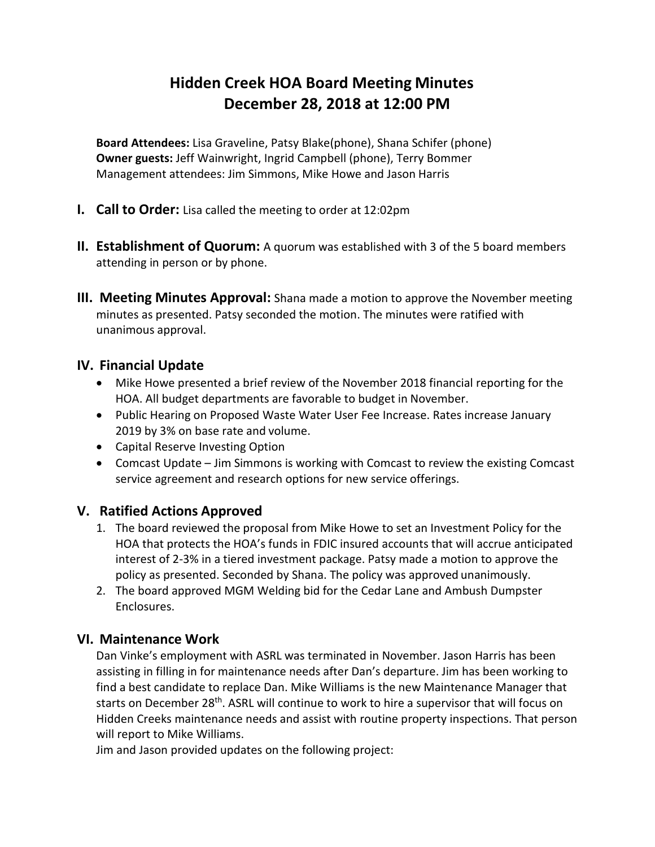# **Hidden Creek HOA Board Meeting Minutes December 28, 2018 at 12:00 PM**

**Board Attendees:** Lisa Graveline, Patsy Blake(phone), Shana Schifer (phone) **Owner guests:** Jeff Wainwright, Ingrid Campbell (phone), Terry Bommer Management attendees: Jim Simmons, Mike Howe and Jason Harris

- **I. Call to Order:** Lisa called the meeting to order at 12:02pm
- **II. Establishment of Quorum:** A quorum was established with 3 of the 5 board members attending in person or by phone.
- **III. Meeting Minutes Approval:** Shana made a motion to approve the November meeting minutes as presented. Patsy seconded the motion. The minutes were ratified with unanimous approval.

# **IV. Financial Update**

- Mike Howe presented a brief review of the November 2018 financial reporting for the HOA. All budget departments are favorable to budget in November.
- Public Hearing on Proposed Waste Water User Fee Increase. Rates increase January 2019 by 3% on base rate and volume.
- Capital Reserve Investing Option
- Comcast Update Jim Simmons is working with Comcast to review the existing Comcast service agreement and research options for new service offerings.

## **V. Ratified Actions Approved**

- 1. The board reviewed the proposal from Mike Howe to set an Investment Policy for the HOA that protects the HOA's funds in FDIC insured accounts that will accrue anticipated interest of 2-3% in a tiered investment package. Patsy made a motion to approve the policy as presented. Seconded by Shana. The policy was approved unanimously.
- 2. The board approved MGM Welding bid for the Cedar Lane and Ambush Dumpster Enclosures.

# **VI. Maintenance Work**

Dan Vinke's employment with ASRL was terminated in November. Jason Harris has been assisting in filling in for maintenance needs after Dan's departure. Jim has been working to find a best candidate to replace Dan. Mike Williams is the new Maintenance Manager that starts on December 28<sup>th</sup>. ASRL will continue to work to hire a supervisor that will focus on Hidden Creeks maintenance needs and assist with routine property inspections. That person will report to Mike Williams.

Jim and Jason provided updates on the following project: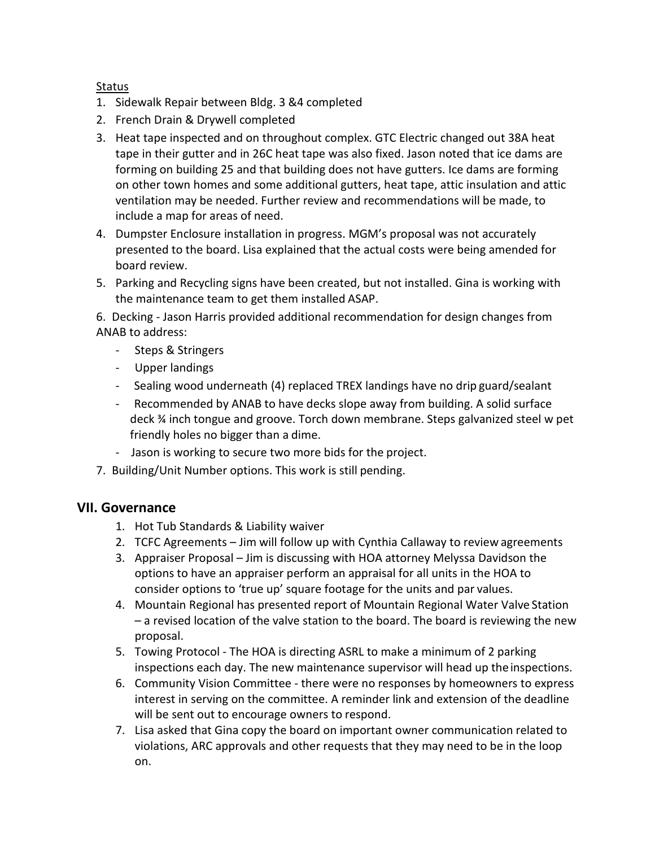#### **Status**

- 1. Sidewalk Repair between Bldg. 3 &4 completed
- 2. French Drain & Drywell completed
- 3. Heat tape inspected and on throughout complex. GTC Electric changed out 38A heat tape in their gutter and in 26C heat tape was also fixed. Jason noted that ice dams are forming on building 25 and that building does not have gutters. Ice dams are forming on other town homes and some additional gutters, heat tape, attic insulation and attic ventilation may be needed. Further review and recommendations will be made, to include a map for areas of need.
- 4. Dumpster Enclosure installation in progress. MGM's proposal was not accurately presented to the board. Lisa explained that the actual costs were being amended for board review.
- 5. Parking and Recycling signs have been created, but not installed. Gina is working with the maintenance team to get them installed ASAP.

6. Decking - Jason Harris provided additional recommendation for design changes from ANAB to address:

- Steps & Stringers
- Upper landings
- Sealing wood underneath (4) replaced TREX landings have no drip guard/sealant
- Recommended by ANAB to have decks slope away from building. A solid surface deck ¾ inch tongue and groove. Torch down membrane. Steps galvanized steel w pet friendly holes no bigger than a dime.
- Jason is working to secure two more bids for the project.
- 7. Building/Unit Number options. This work is still pending.

#### **VII. Governance**

- 1. Hot Tub Standards & Liability waiver
- 2. TCFC Agreements Jim will follow up with Cynthia Callaway to review agreements
- 3. Appraiser Proposal Jim is discussing with HOA attorney Melyssa Davidson the options to have an appraiser perform an appraisal for all units in the HOA to consider options to 'true up' square footage for the units and par values.
- 4. Mountain Regional has presented report of Mountain Regional Water Valve Station – a revised location of the valve station to the board. The board is reviewing the new proposal.
- 5. Towing Protocol The HOA is directing ASRL to make a minimum of 2 parking inspections each day. The new maintenance supervisor will head up theinspections.
- 6. Community Vision Committee there were no responses by homeowners to express interest in serving on the committee. A reminder link and extension of the deadline will be sent out to encourage owners to respond.
- 7. Lisa asked that Gina copy the board on important owner communication related to violations, ARC approvals and other requests that they may need to be in the loop on.